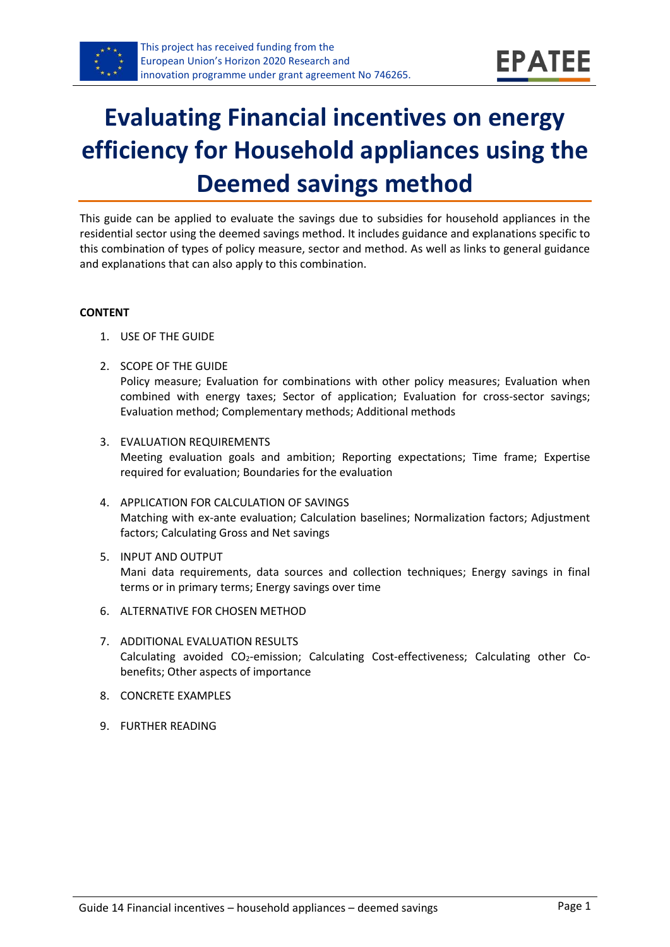

# **Evaluating Financial incentives on energy efficiency for Household appliances using the Deemed savings method**

This guide can be applied to evaluate the savings due to subsidies for household appliances in the residential sector using the deemed savings method. It includes guidance and explanations specific to this combination of types of policy measure, sector and method. As well as links to general guidance and explanations that can also apply to this combination.

#### **CONTENT**

- 1. USE OF THE GUIDE
- <span id="page-0-1"></span>2. SCOPE OF THE GUIDE

Policy measure; Evaluation for combinations with other policy measures; Evaluation when combined with energy taxes; Sector of application; Evaluation for cross-sector savings; Evaluation method; Complementary methods; Additional methods

- <span id="page-0-2"></span>3. EVALUATION REQUIREMENTS Meeting evaluation goals and ambition; Reporting expectations; Time frame; Expertise required for evaluation; Boundaries for the evaluation
- <span id="page-0-3"></span>4. APPLICATION FOR CALCULATION OF SAVINGS Matching with ex-ante evaluation; Calculation baselines; Normalization factors; Adjustment factors; Calculating Gross and Net savings
- <span id="page-0-4"></span>5. INPUT AND OUTPUT Mani data requirements, data sources and collection techniques; Energy savings in final terms or in primary terms; Energy savings over time
- <span id="page-0-0"></span>6. ALTERNATIVE FOR CHOSEN METHOD
- <span id="page-0-5"></span>7. ADDITIONAL EVALUATION RESULTS Calculating avoided CO2-emission; Calculating Cost-effectiveness; Calculating other Cobenefits; Other aspects of importance
- <span id="page-0-6"></span>8. CONCRETE EXAMPLES
- <span id="page-0-7"></span>9. FURTHER READING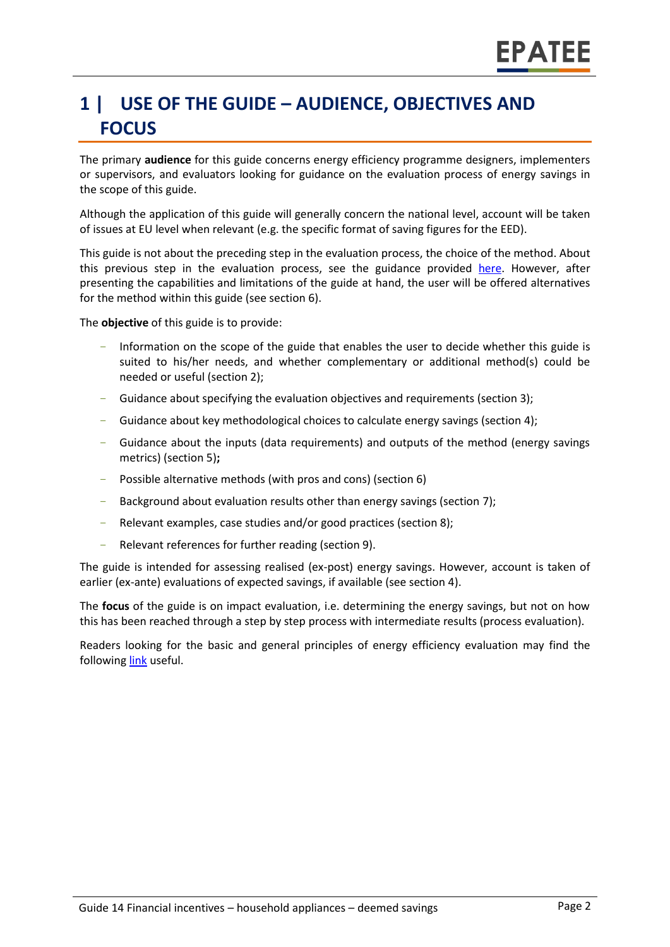# **1 | USE OF THE GUIDE – AUDIENCE, OBJECTIVES AND FOCUS**

The primary **audience** for this guide concerns energy efficiency programme designers, implementers or supervisors, and evaluators looking for guidance on the evaluation process of energy savings in the scope of this guide.

Although the application of this guide will generally concern the national level, account will be taken of issues at EU level when relevant (e.g. the specific format of saving figures for the EED).

This guide is not about the preceding step in the evaluation process, the choice of the method. About this previous step in the evaluation process, see the guidance provided [here.](https://www.epatee-toolbox.eu/wp-content/uploads/2019/04/epatee_integrating_evaluation_into_policy_cycle.pdf) However, after presenting the capabilities and limitations of the guide at hand, the user will be offered alternatives for the method within this guide (see section [6\)](#page-0-0).

The **objective** of this guide is to provide:

- Information on the scope of the guide that enables the user to decide whether this guide is suited to his/her needs, and whether complementary or additional method(s) could be needed or useful (sectio[n 2\)](#page-0-1);
- Guidance about specifying the evaluation objectives and requirements (section [3\)](#page-0-2);
- Guidance about key methodological choices to calculate energy savings (section [4\)](#page-0-3);
- Guidance about the inputs (data requirements) and outputs of the method (energy savings metrics) (sectio[n 5\)](#page-0-4)**;**
- Possible alternative methods (with pros and cons) (section [6\)](#page-0-0)
- Background about evaluation results other than energy savings (sectio[n 7\)](#page-0-5);
- Relevant examples, case studies and/or good practices (section [8\)](#page-0-6);
- Relevant references for further reading (section [9\)](#page-0-7).

The guide is intended for assessing realised (ex-post) energy savings. However, account is taken of earlier (ex-ante) evaluations of expected savings, if available (see section [4\)](#page-0-3).

The **focus** of the guide is on impact evaluation, i.e. determining the energy savings, but not on how this has been reached through a step by step process with intermediate results (process evaluation).

Readers looking for the basic and general principles of energy efficiency evaluation may find the followin[g link](https://www.epatee-toolbox.eu/evaluation-principles-and-methods/) useful.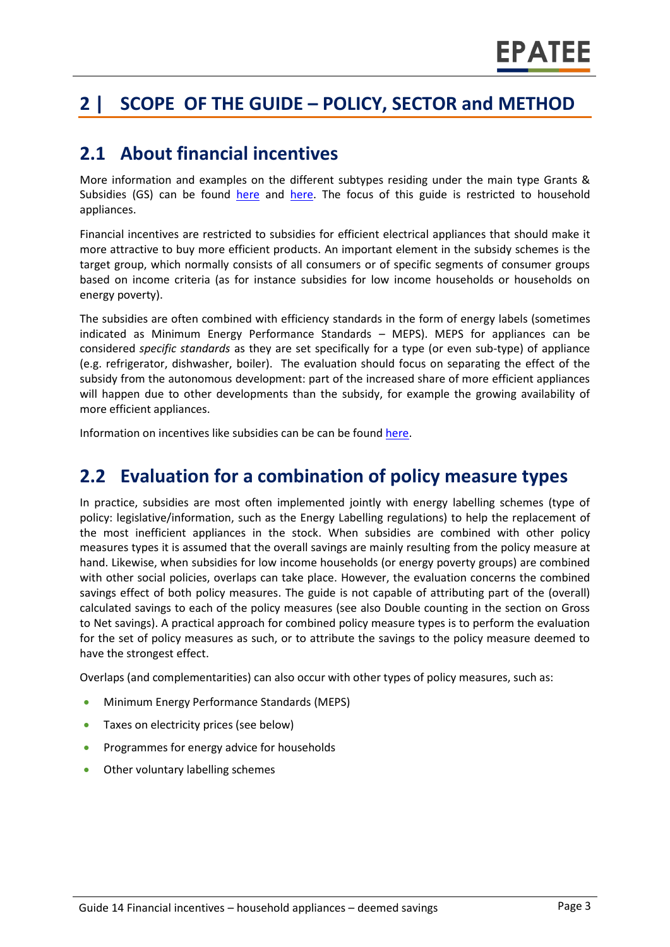# **2 | SCOPE OF THE GUIDE – POLICY, SECTOR and METHOD**

#### **2.1 About financial incentives**

More information and examples on the different subtypes residing under the main type Grants & Subsidies (GS) can be found [here](http://www.measures-odyssee-mure.eu/) and [here.](https://www.epatee-lib.eu/) The focus of this guide is restricted to household appliances.

Financial incentives are restricted to subsidies for efficient electrical appliances that should make it more attractive to buy more efficient products. An important element in the subsidy schemes is the target group, which normally consists of all consumers or of specific segments of consumer groups based on income criteria (as for instance subsidies for low income households or households on energy poverty).

The subsidies are often combined with efficiency standards in the form of energy labels (sometimes indicated as Minimum Energy Performance Standards – MEPS). MEPS for appliances can be considered *specific standards* as they are set specifically for a type (or even sub-type) of appliance (e.g. refrigerator, dishwasher, boiler). The evaluation should focus on separating the effect of the subsidy from the autonomous development: part of the increased share of more efficient appliances will happen due to other developments than the subsidy, for example the growing availability of more efficient appliances.

Information on incentives like subsidies can be can be foun[d here.](https://ec.europa.eu/energy/intelligent/projects/en/projects/emeees)

### **2.2 Evaluation for a combination of policy measure types**

In practice, subsidies are most often implemented jointly with energy labelling schemes (type of policy: legislative/information, such as the Energy Labelling regulations) to help the replacement of the most inefficient appliances in the stock. When subsidies are combined with other policy measures types it is assumed that the overall savings are mainly resulting from the policy measure at hand. Likewise, when subsidies for low income households (or energy poverty groups) are combined with other social policies, overlaps can take place. However, the evaluation concerns the combined savings effect of both policy measures. The guide is not capable of attributing part of the (overall) calculated savings to each of the policy measures (see also Double counting in the section on Gross to Net savings). A practical approach for combined policy measure types is to perform the evaluation for the set of policy measures as such, or to attribute the savings to the policy measure deemed to have the strongest effect.

Overlaps (and complementarities) can also occur with other types of policy measures, such as:

- Minimum Energy Performance Standards (MEPS)
- Taxes on electricity prices (see below)
- Programmes for energy advice for households
- Other voluntary labelling schemes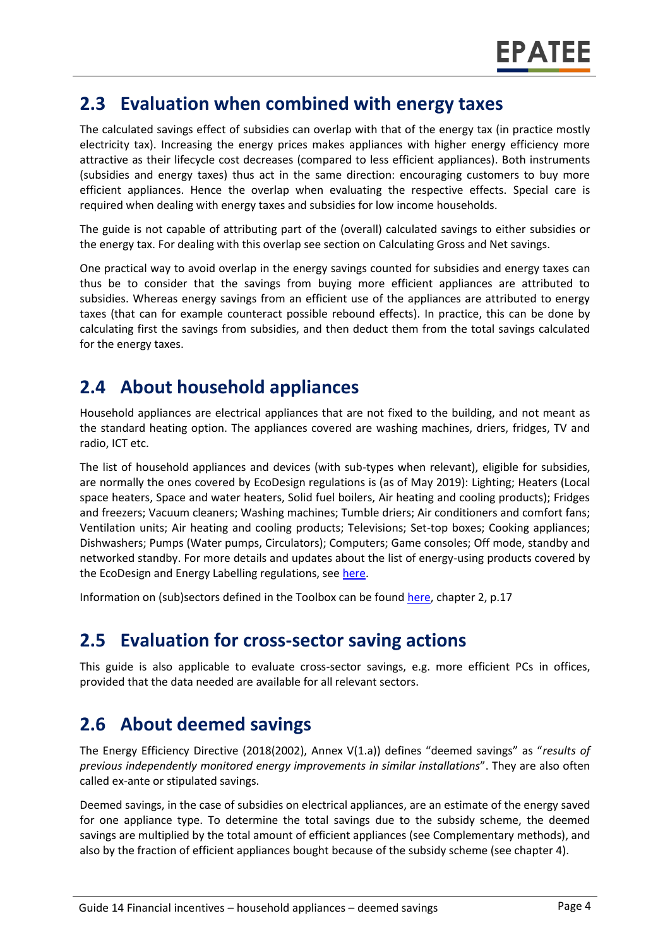#### **2.3 Evaluation when combined with energy taxes**

The calculated savings effect of subsidies can overlap with that of the energy tax (in practice mostly electricity tax). Increasing the energy prices makes appliances with higher energy efficiency more attractive as their lifecycle cost decreases (compared to less efficient appliances). Both instruments (subsidies and energy taxes) thus act in the same direction: encouraging customers to buy more efficient appliances. Hence the overlap when evaluating the respective effects. Special care is required when dealing with energy taxes and subsidies for low income households.

The guide is not capable of attributing part of the (overall) calculated savings to either subsidies or the energy tax. For dealing with this overlap see section on Calculating Gross and Net savings.

One practical way to avoid overlap in the energy savings counted for subsidies and energy taxes can thus be to consider that the savings from buying more efficient appliances are attributed to subsidies. Whereas energy savings from an efficient use of the appliances are attributed to energy taxes (that can for example counteract possible rebound effects). In practice, this can be done by calculating first the savings from subsidies, and then deduct them from the total savings calculated for the energy taxes.

### **2.4 About household appliances**

Household appliances are electrical appliances that are not fixed to the building, and not meant as the standard heating option. The appliances covered are washing machines, driers, fridges, TV and radio, ICT etc.

The list of household appliances and devices (with sub-types when relevant), eligible for subsidies, are normally the ones covered by EcoDesign regulations is (as of May 2019): Lighting; Heaters (Local space heaters, Space and water heaters, Solid fuel boilers, Air heating and cooling products); Fridges and freezers; Vacuum cleaners; Washing machines; Tumble driers; Air conditioners and comfort fans; Ventilation units; Air heating and cooling products; Televisions; Set-top boxes; Cooking appliances; Dishwashers; Pumps (Water pumps, Circulators); Computers; Game consoles; Off mode, standby and networked standby. For more details and updates about the list of energy-using products covered by the EcoDesign and Energy Labelling regulations, see [here.](https://ec.europa.eu/info/energy-climate-change-environment/standards-tools-and-labels/products-labelling-rules-and-requirements/energy-label-and-ecodesign/energy-efficient-products_en)

Information on (sub)sectors defined in the Toolbox can be found [here,](https://www.epatee-toolbox.eu/wp-content/uploads/2018/10/Definitions-and-typologies-related-to-energy-savings-evaluation.pdf) chapter 2, p.17

### **2.5 Evaluation for cross-sector saving actions**

This guide is also applicable to evaluate cross-sector savings, e.g. more efficient PCs in offices, provided that the data needed are available for all relevant sectors.

# **2.6 About deemed savings**

The Energy Efficiency Directive (2018(2002), Annex V(1.a)) defines "deemed savings" as "*results of previous independently monitored energy improvements in similar installations*". They are also often called ex-ante or stipulated savings.

Deemed savings, in the case of subsidies on electrical appliances, are an estimate of the energy saved for one appliance type. To determine the total savings due to the subsidy scheme, the deemed savings are multiplied by the total amount of efficient appliances (see Complementary methods), and also by the fraction of efficient appliances bought because of the subsidy scheme (see chapter 4).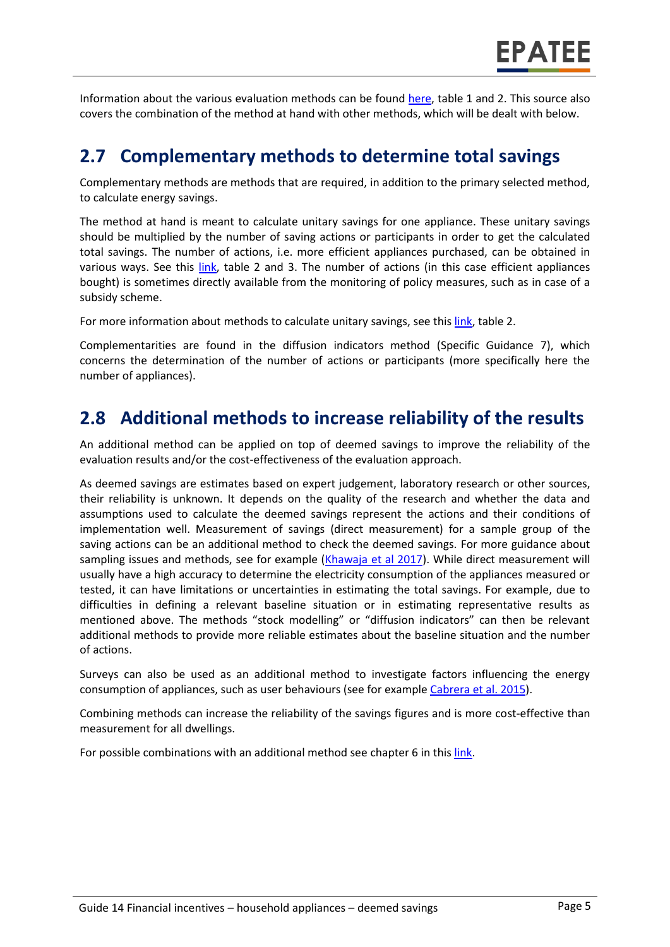Information about the various evaluation methods can be found [here,](https://www.epatee-toolbox.eu/wp-content/uploads/2019/04/Saving_calculation_methods_for_EPATEE_Toobox_2019_04_24.pdf) table 1 and 2. This source also covers the combination of the method at hand with other methods, which will be dealt with below.

#### **2.7 Complementary methods to determine total savings**

Complementary methods are methods that are required, in addition to the primary selected method, to calculate energy savings.

The method at hand is meant to calculate unitary savings for one appliance. These unitary savings should be multiplied by the number of saving actions or participants in order to get the calculated total savings. The number of actions, i.e. more efficient appliances purchased, can be obtained in various ways. See this [link,](https://www.epatee-toolbox.eu/evaluation-principles-and-methods/general-principles/saving-calculation-methods-and-their-application-in-the-epatee-toolbox/) table 2 and 3. The number of actions (in this case efficient appliances bought) is sometimes directly available from the monitoring of policy measures, such as in case of a subsidy scheme.

For more information about methods to calculate unitary savings, see thi[s link,](https://www.epatee-toolbox.eu/evaluation-principles-and-methods/general-principles/saving-calculation-methods-and-their-application-in-the-epatee-toolbox/) table 2.

Complementarities are found in the diffusion indicators method (Specific Guidance 7), which concerns the determination of the number of actions or participants (more specifically here the number of appliances).

### **2.8 Additional methods to increase reliability of the results**

An additional method can be applied on top of deemed savings to improve the reliability of the evaluation results and/or the cost-effectiveness of the evaluation approach.

As deemed savings are estimates based on expert judgement, laboratory research or other sources, their reliability is unknown. It depends on the quality of the research and whether the data and assumptions used to calculate the deemed savings represent the actions and their conditions of implementation well. Measurement of savings (direct measurement) for a sample group of the saving actions can be an additional method to check the deemed savings. For more guidance about sampling issues and methods, see for example [\(Khawaja et al 2017\)](https://www.nrel.gov/docs/fy17osti/68567.pdf). While direct measurement will usually have a high accuracy to determine the electricity consumption of the appliances measured or tested, it can have limitations or uncertainties in estimating the total savings. For example, due to difficulties in defining a relevant baseline situation or in estimating representative results as mentioned above. The methods "stock modelling" or "diffusion indicators" can then be relevant additional methods to provide more reliable estimates about the baseline situation and the number of actions.

Surveys can also be used as an additional method to investigate factors influencing the energy consumption of appliances, such as user behaviours (see for example [Cabrera et al. 2015\)](https://e3p.jrc.ec.europa.eu/publications/proceedings-8th-international-conference-energy-efficiency-domestic-appliances-and).

Combining methods can increase the reliability of the savings figures and is more cost-effective than measurement for all dwellings.

For possible combinations with an additional method see chapter 6 in thi[s link.](https://www.epatee-toolbox.eu/evaluation-principles-and-methods/general-principles/saving-calculation-methods-and-their-application-in-the-epatee-toolbox/)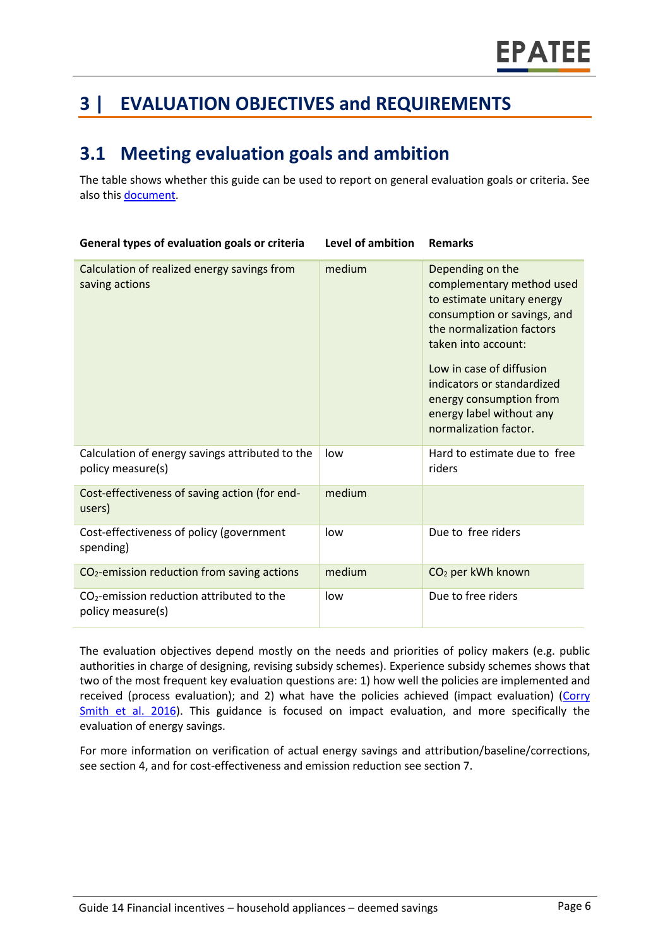# **3 | EVALUATION OBJECTIVES and REQUIREMENTS**

# **3.1 Meeting evaluation goals and ambition**

The table shows whether this guide can be used to report on general evaluation goals or criteria. See also this [document.](https://www.epatee-lib.eu/media/docs/D4_EMEEES_Final.pdf)

| General types of evaluation goals or criteria                        | Level of ambition | <b>Remarks</b>                                                                                                                                                                                                                                                                                           |
|----------------------------------------------------------------------|-------------------|----------------------------------------------------------------------------------------------------------------------------------------------------------------------------------------------------------------------------------------------------------------------------------------------------------|
| Calculation of realized energy savings from<br>saving actions        | medium            | Depending on the<br>complementary method used<br>to estimate unitary energy<br>consumption or savings, and<br>the normalization factors<br>taken into account:<br>Low in case of diffusion<br>indicators or standardized<br>energy consumption from<br>energy label without any<br>normalization factor. |
| Calculation of energy savings attributed to the<br>policy measure(s) | low               | Hard to estimate due to free<br>riders                                                                                                                                                                                                                                                                   |
| Cost-effectiveness of saving action (for end-<br>users)              | medium            |                                                                                                                                                                                                                                                                                                          |
| Cost-effectiveness of policy (government<br>spending)                | low               | Due to free riders                                                                                                                                                                                                                                                                                       |
| CO <sub>2</sub> -emission reduction from saving actions              | medium            | CO <sub>2</sub> per kWh known                                                                                                                                                                                                                                                                            |
| $CO2$ -emission reduction attributed to the<br>policy measure(s)     | low               | Due to free riders                                                                                                                                                                                                                                                                                       |

The evaluation objectives depend mostly on the needs and priorities of policy makers (e.g. public authorities in charge of designing, revising subsidy schemes). Experience subsidy schemes shows that two of the most frequent key evaluation questions are: 1) how well the policies are implemented and received (process evaluation); and 2) what have the policies achieved (impact evaluation) (Corry [Smith et al. 2016\)](https://storage.googleapis.com/clasp-siteattachments/IEPPEC-Paper_Ex-post-impact-evaluations_Final.pdf). This guidance is focused on impact evaluation, and more specifically the evaluation of energy savings.

For more information on verification of actual energy savings and attribution/baseline/corrections, see section 4, and for cost-effectiveness and emission reduction see section 7.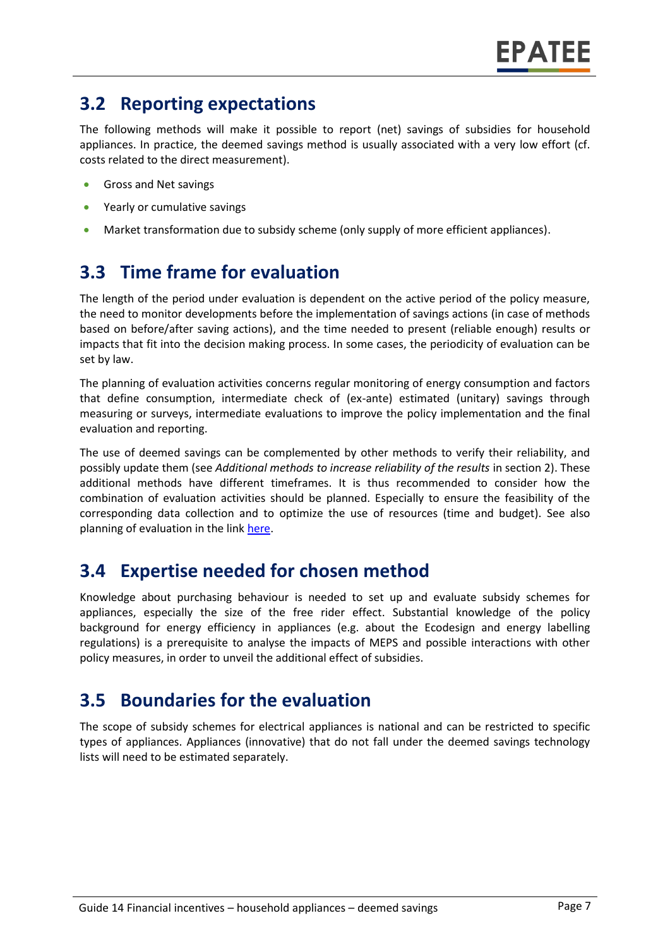# **3.2 Reporting expectations**

The following methods will make it possible to report (net) savings of subsidies for household appliances. In practice, the deemed savings method is usually associated with a very low effort (cf. costs related to the direct measurement).

- Gross and Net savings
- Yearly or cumulative savings
- Market transformation due to subsidy scheme (only supply of more efficient appliances).

# **3.3 Time frame for evaluation**

The length of the period under evaluation is dependent on the active period of the policy measure, the need to monitor developments before the implementation of savings actions (in case of methods based on before/after saving actions), and the time needed to present (reliable enough) results or impacts that fit into the decision making process. In some cases, the periodicity of evaluation can be set by law.

The planning of evaluation activities concerns regular monitoring of energy consumption and factors that define consumption, intermediate check of (ex-ante) estimated (unitary) savings through measuring or surveys, intermediate evaluations to improve the policy implementation and the final evaluation and reporting.

The use of deemed savings can be complemented by other methods to verify their reliability, and possibly update them (see *Additional methods to increase reliability of the results* in section 2). These additional methods have different timeframes. It is thus recommended to consider how the combination of evaluation activities should be planned. Especially to ensure the feasibility of the corresponding data collection and to optimize the use of resources (time and budget). See also planning of evaluation in the lin[k here.](https://www.epatee-toolbox.eu/wp-content/uploads/2019/04/epatee_integrating_evaluation_into_policy_cycle.pdf)

# **3.4 Expertise needed for chosen method**

Knowledge about purchasing behaviour is needed to set up and evaluate subsidy schemes for appliances, especially the size of the free rider effect. Substantial knowledge of the policy background for energy efficiency in appliances (e.g. about the Ecodesign and energy labelling regulations) is a prerequisite to analyse the impacts of MEPS and possible interactions with other policy measures, in order to unveil the additional effect of subsidies.

### **3.5 Boundaries for the evaluation**

The scope of subsidy schemes for electrical appliances is national and can be restricted to specific types of appliances. Appliances (innovative) that do not fall under the deemed savings technology lists will need to be estimated separately.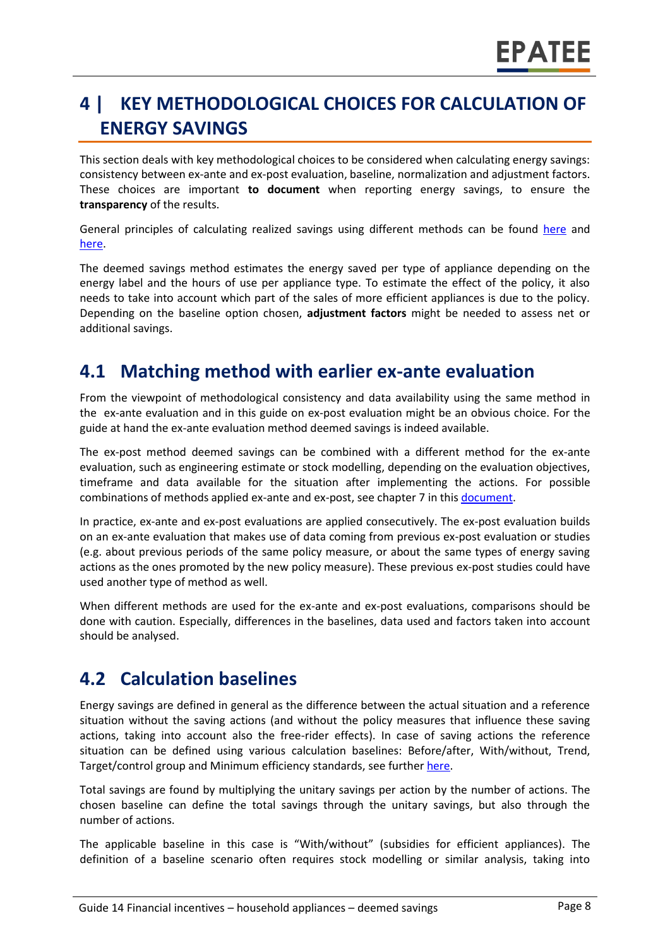# **4 | KEY METHODOLOGICAL CHOICES FOR CALCULATION OF ENERGY SAVINGS**

This section deals with key methodological choices to be considered when calculating energy savings: consistency between ex-ante and ex-post evaluation, baseline, normalization and adjustment factors. These choices are important **to document** when reporting energy savings, to ensure the **transparency** of the results.

General principles of calculating realized savings using different methods can be found [here](https://www.epatee-lib.eu/media/docs/D4_EMEEES_Final.pdf) and [here.](https://www.epatee-lib.eu/media/docs/EMEEES_WP3_Report_Final.pdf)

The deemed savings method estimates the energy saved per type of appliance depending on the energy label and the hours of use per appliance type. To estimate the effect of the policy, it also needs to take into account which part of the sales of more efficient appliances is due to the policy. Depending on the baseline option chosen, **adjustment factors** might be needed to assess net or additional savings.

### **4.1 Matching method with earlier ex-ante evaluation**

From the viewpoint of methodological consistency and data availability using the same method in the ex-ante evaluation and in this guide on ex-post evaluation might be an obvious choice. For the guide at hand the ex-ante evaluation method deemed savings is indeed available.

The ex-post method deemed savings can be combined with a different method for the ex-ante evaluation, such as engineering estimate or stock modelling, depending on the evaluation objectives, timeframe and data available for the situation after implementing the actions. For possible combinations of methods applied ex-ante and ex-post, see chapter 7 in this [document.](https://www.epatee-toolbox.eu/wp-content/uploads/2019/04/Saving_calculation_methods_for_EPATEE_Toobox_2019_04_24.pdf)

In practice, ex-ante and ex-post evaluations are applied consecutively. The ex-post evaluation builds on an ex-ante evaluation that makes use of data coming from previous ex-post evaluation or studies (e.g. about previous periods of the same policy measure, or about the same types of energy saving actions as the ones promoted by the new policy measure). These previous ex-post studies could have used another type of method as well.

When different methods are used for the ex-ante and ex-post evaluations, comparisons should be done with caution. Especially, differences in the baselines, data used and factors taken into account should be analysed.

### **4.2 Calculation baselines**

Energy savings are defined in general as the difference between the actual situation and a reference situation without the saving actions (and without the policy measures that influence these saving actions, taking into account also the free-rider effects). In case of saving actions the reference situation can be defined using various calculation baselines: Before/after, With/without, Trend, Target/control group and Minimum efficiency standards, see furthe[r here.](https://www.epatee-toolbox.eu/wp-content/uploads/2019/04/Application_of_KB_savings_baselines_and_correction_factors_in_the_Toolbox_and_PSMCs_190418_.pdf)

Total savings are found by multiplying the unitary savings per action by the number of actions. The chosen baseline can define the total savings through the unitary savings, but also through the number of actions.

The applicable baseline in this case is "With/without" (subsidies for efficient appliances). The definition of a baseline scenario often requires stock modelling or similar analysis, taking into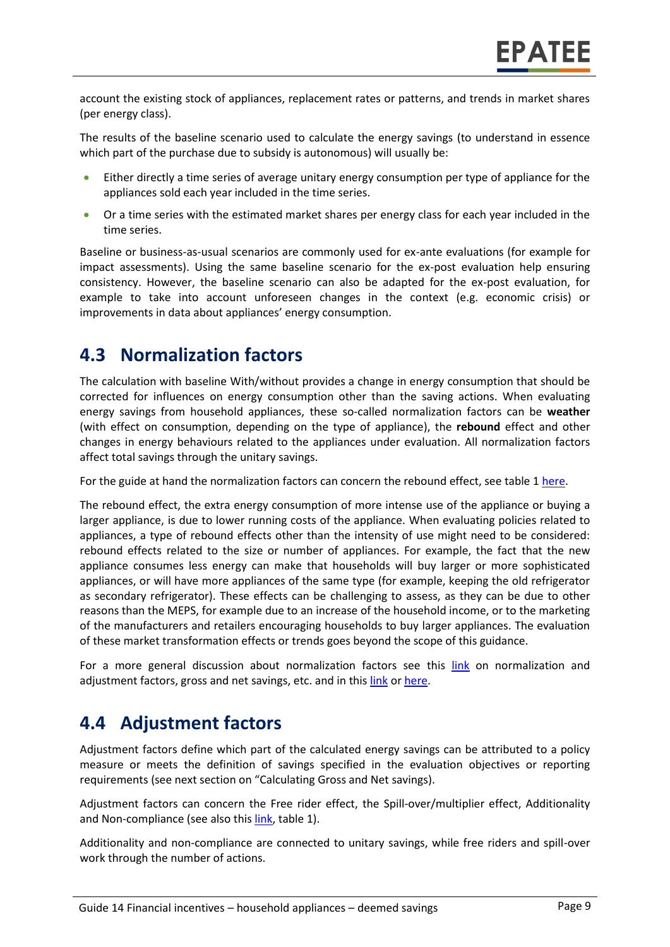account the existing stock of appliances, replacement rates or patterns, and trends in market shares (per energy class).

The results of the baseline scenario used to calculate the energy savings (to understand in essence which part of the purchase due to subsidy is autonomous) will usually be:

- Either directly a time series of average unitary energy consumption per type of appliance for the appliances sold each year included in the time series.
- Or a time series with the estimated market shares per energy class for each year included in the time series.

Baseline or business-as-usual scenarios are commonly used for ex-ante evaluations (for example for impact assessments). Using the same baseline scenario for the ex-post evaluation help ensuring consistency. However, the baseline scenario can also be adapted for the ex-post evaluation, for example to take into account unforeseen changes in the context (e.g. economic crisis) or improvements in data about appliances' energy consumption.

#### **4.3 Normalization factors**

The calculation with baseline With/without provides a change in energy consumption that should be corrected for influences on energy consumption other than the saving actions. When evaluating energy savings from household appliances, these so-called normalization factors can be **weather**  (with effect on consumption, depending on the type of appliance), the **rebound** effect and other changes in energy behaviours related to the appliances under evaluation. All normalization factors affect total savings through the unitary savings.

For the guide at hand the normalization factors can concern the rebound effect, see table [1 here.](https://www.epatee-toolbox.eu/wp-content/uploads/2019/04/Saving_calculation_methods_for_EPATEE_Toobox_2019_04_24.pdf)

The rebound effect, the extra energy consumption of more intense use of the appliance or buying a larger appliance, is due to lower running costs of the appliance. When evaluating policies related to appliances, a type of rebound effects other than the intensity of use might need to be considered: rebound effects related to the size or number of appliances. For example, the fact that the new appliance consumes less energy can make that households will buy larger or more sophisticated appliances, or will have more appliances of the same type (for example, keeping the old refrigerator as secondary refrigerator). These effects can be challenging to assess, as they can be due to other reasons than the MEPS, for example due to an increase of the household income, or to the marketing of the manufacturers and retailers encouraging households to buy larger appliances. The evaluation of these market transformation effects or trends goes beyond the scope of this guidance.

For a more general discussion about normalization factors see this [link](https://www.epatee-toolbox.eu/wp-content/uploads/2019/04/Saving_calculation_methods_for_EPATEE_Toobox_2019_04_24.pdf) on normalization and adjustment factors, gross and net savings, etc. and in this [link](https://www.academia.edu/14979876/Evaluating_energy_efficiency_policy_measures_and_DSM_programmes) o[r here.](https://www.eceee.org/library/conference_proceedings/eceee_Summer_Studies/2017/8-monitoring-and-evaluation-building-confidence-and-enhancing-practices/impacts-and-cost-effectiveness-of-major-energy-efficiency-policies-for-existing-buildings-what-do-we-exactly-know-and-what-can-we-learn/)

### **4.4 Adjustment factors**

Adjustment factors define which part of the calculated energy savings can be attributed to a policy measure or meets the definition of savings specified in the evaluation objectives or reporting requirements (see next section on "Calculating Gross and Net savings).

Adjustment factors can concern the Free rider effect, the Spill-over/multiplier effect, Additionality and Non-compliance (see also this [link,](https://www.epatee-toolbox.eu/evaluation-principles-and-methods/general-principles/saving-calculation-methods-and-their-application-in-the-epatee-toolbox/) table 1).

Additionality and non-compliance are connected to unitary savings, while free riders and spill-over work through the number of actions.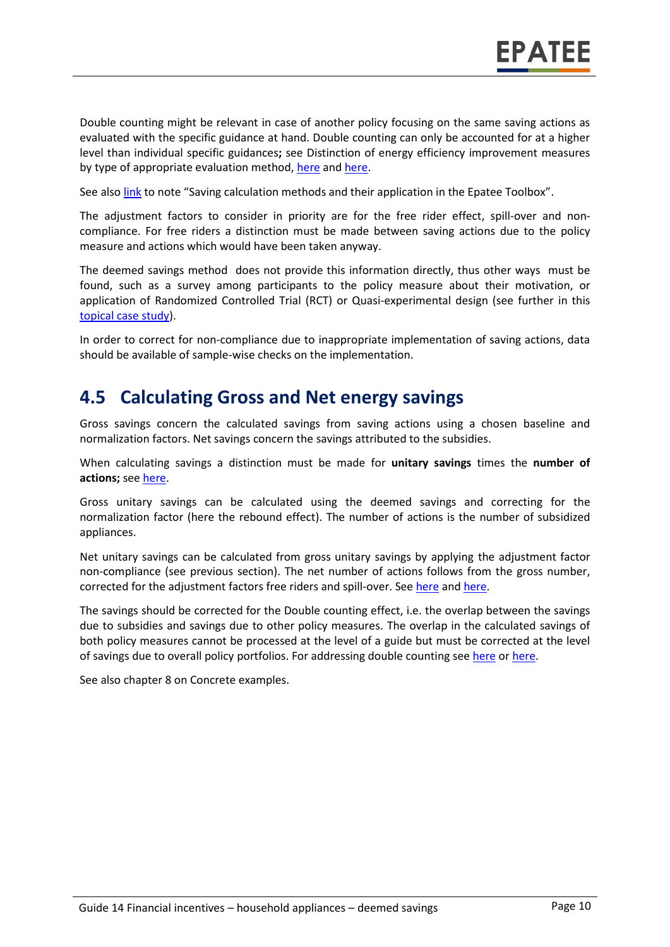Double counting might be relevant in case of another policy focusing on the same saving actions as evaluated with the specific guidance at hand. Double counting can only be accounted for at a higher level than individual specific guidances**;** see Distinction of energy efficiency improvement measures by type of appropriate evaluation method, [here](https://www.epatee-lib.eu/media/docs/EMEEES_WP2_D1_Assessment_existing_evaluation_2008-04-21.pdf) and [here.](https://www.academia.edu/14979876/Evaluating_energy_efficiency_policy_measures_and_DSM_programmes)

See also [link](https://www.epatee-toolbox.eu/wp-content/uploads/2019/04/Saving_calculation_methods_for_EPATEE_Toobox_2019_04_24.pdf) to note "Saving calculation methods and their application in the Epatee Toolbox".

The adjustment factors to consider in priority are for the free rider effect, spill-over and noncompliance. For free riders a distinction must be made between saving actions due to the policy measure and actions which would have been taken anyway.

The deemed savings method does not provide this information directly, thus other ways must be found, such as a survey among participants to the policy measure about their motivation, or application of Randomized Controlled Trial (RCT) or Quasi-experimental design (see further in this [topical case study\)](https://www.epatee-toolbox.eu/evaluation-principles-and-methods/epatee-topical-case-study-evaluating-net-energy-savings/).

In order to correct for non-compliance due to inappropriate implementation of saving actions, data should be available of sample-wise checks on the implementation.

#### **4.5 Calculating Gross and Net energy savings**

Gross savings concern the calculated savings from saving actions using a chosen baseline and normalization factors. Net savings concern the savings attributed to the subsidies.

When calculating savings a distinction must be made for **unitary savings** times the **number of actions;** see [here.](https://www.epatee-lib.eu/media/docs/D4_EMEEES_Final.pdf)

Gross unitary savings can be calculated using the deemed savings and correcting for the normalization factor (here the rebound effect). The number of actions is the number of subsidized appliances.

Net unitary savings can be calculated from gross unitary savings by applying the adjustment factor non-compliance (see previous section). The net number of actions follows from the gross number, corrected for the adjustment factors free riders and spill-over. See [here](https://www.academia.edu/14979876/Evaluating_energy_efficiency_policy_measures_and_DSM_programmes) and [here.](https://www.epatee-lib.eu/media/docs/D4_EMEEES_Final.pdf)

The savings should be corrected for the Double counting effect, i.e. the overlap between the savings due to subsidies and savings due to other policy measures. The overlap in the calculated savings of both policy measures cannot be processed at the level of a guide but must be corrected at the level of savings due to overall policy portfolios. For addressing double counting see [here](https://www.academia.edu/14979876/Evaluating_energy_efficiency_policy_measures_and_DSM_programmes) or [here.](https://www.epatee-lib.eu/media/docs/D4_EMEEES_Final.pdf)

See also chapter 8 on Concrete examples.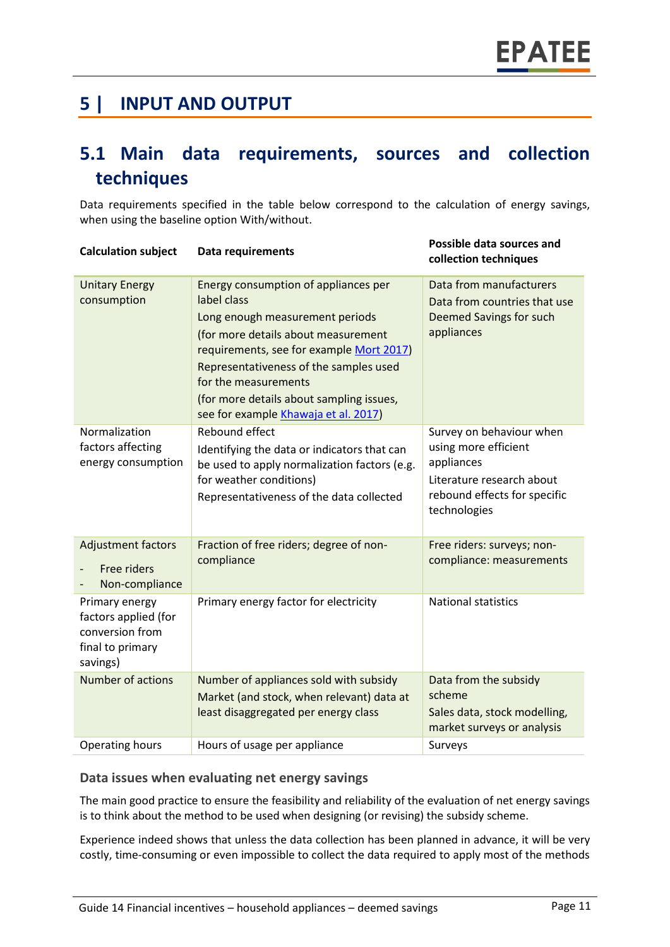# **5 | INPUT AND OUTPUT**

# **5.1 Main data requirements, sources and collection techniques**

Data requirements specified in the table below correspond to the calculation of energy savings, when using the baseline option With/without.

| <b>Calculation subject</b>                                                                | <b>Data requirements</b>                                                                                                                                                                                                                                                                                                        | Possible data sources and<br>collection techniques                                                                                          |
|-------------------------------------------------------------------------------------------|---------------------------------------------------------------------------------------------------------------------------------------------------------------------------------------------------------------------------------------------------------------------------------------------------------------------------------|---------------------------------------------------------------------------------------------------------------------------------------------|
| <b>Unitary Energy</b><br>consumption                                                      | Energy consumption of appliances per<br>label class<br>Long enough measurement periods<br>(for more details about measurement<br>requirements, see for example Mort 2017)<br>Representativeness of the samples used<br>for the measurements<br>(for more details about sampling issues,<br>see for example Khawaja et al. 2017) | Data from manufacturers<br>Data from countries that use<br>Deemed Savings for such<br>appliances                                            |
| Normalization<br>factors affecting<br>energy consumption                                  | Rebound effect<br>Identifying the data or indicators that can<br>be used to apply normalization factors (e.g.<br>for weather conditions)<br>Representativeness of the data collected                                                                                                                                            | Survey on behaviour when<br>using more efficient<br>appliances<br>Literature research about<br>rebound effects for specific<br>technologies |
| <b>Adjustment factors</b><br>Free riders<br>Non-compliance                                | Fraction of free riders; degree of non-<br>compliance                                                                                                                                                                                                                                                                           | Free riders: surveys; non-<br>compliance: measurements                                                                                      |
| Primary energy<br>factors applied (for<br>conversion from<br>final to primary<br>savings) | Primary energy factor for electricity                                                                                                                                                                                                                                                                                           | <b>National statistics</b>                                                                                                                  |
| Number of actions                                                                         | Number of appliances sold with subsidy<br>Market (and stock, when relevant) data at<br>least disaggregated per energy class                                                                                                                                                                                                     | Data from the subsidy<br>scheme<br>Sales data, stock modelling,<br>market surveys or analysis                                               |
| <b>Operating hours</b>                                                                    | Hours of usage per appliance                                                                                                                                                                                                                                                                                                    | Surveys                                                                                                                                     |

#### **Data issues when evaluating net energy savings**

The main good practice to ensure the feasibility and reliability of the evaluation of net energy savings is to think about the method to be used when designing (or revising) the subsidy scheme.

Experience indeed shows that unless the data collection has been planned in advance, it will be very costly, time-consuming or even impossible to collect the data required to apply most of the methods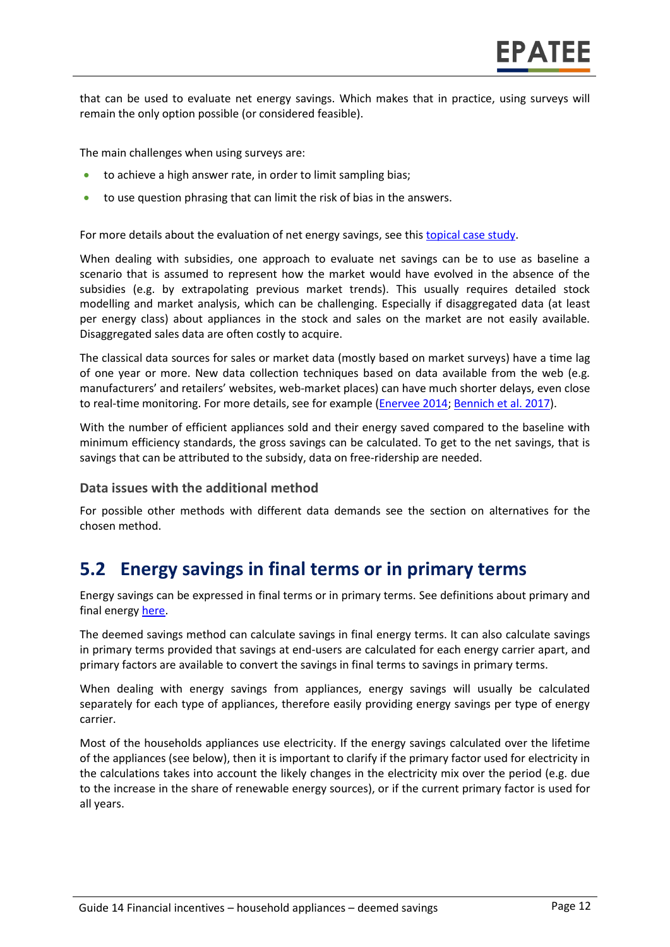that can be used to evaluate net energy savings. Which makes that in practice, using surveys will remain the only option possible (or considered feasible).

The main challenges when using surveys are:

- to achieve a high answer rate, in order to limit sampling bias;
- to use question phrasing that can limit the risk of bias in the answers.

For more details about the evaluation of net energy savings, see thi[s topical case study.](https://www.epatee-toolbox.eu/wp-content/uploads/2018/10/epatee_topical_case_study_evaluating_net_energy_savings.pdf)

When dealing with subsidies, one approach to evaluate net savings can be to use as baseline a scenario that is assumed to represent how the market would have evolved in the absence of the subsidies (e.g. by extrapolating previous market trends). This usually requires detailed stock modelling and market analysis, which can be challenging. Especially if disaggregated data (at least per energy class) about appliances in the stock and sales on the market are not easily available. Disaggregated sales data are often costly to acquire.

The classical data sources for sales or market data (mostly based on market surveys) have a time lag of one year or more. New data collection techniques based on data available from the web (e.g. manufacturers' and retailers' websites, web-market places) can have much shorter delays, even close to real-time monitoring. For more details, see for example [\(Enervee 2014;](https://superefficient.org/publications/recent-and-historical-product-energy-efficiency-and-life-cycle-cost-improvement-in-swedish-appliance-markets) [Bennich et al. 2017\)](https://www.eceee.org/library/conference_proceedings/eceee_Summer_Studies/2017/7-appliances-products-lighting-and-ict/using-webcrawler-techniques-for-improved-market-surveillance-new-possibilities-for-compliance-and-energy-policy/).

With the number of efficient appliances sold and their energy saved compared to the baseline with minimum efficiency standards, the gross savings can be calculated. To get to the net savings, that is savings that can be attributed to the subsidy, data on free-ridership are needed.

#### **Data issues with the additional method**

For possible other methods with different data demands see the section on alternatives for the chosen method.

#### **5.2 Energy savings in final terms or in primary terms**

Energy savings can be expressed in final terms or in primary terms. See definitions about primary and final energy [here.](https://www.epatee-toolbox.eu/wp-content/uploads/2018/10/Definitions-and-typologies-related-to-energy-savings-evaluation.pdf)

The deemed savings method can calculate savings in final energy terms. It can also calculate savings in primary terms provided that savings at end-users are calculated for each energy carrier apart, and primary factors are available to convert the savings in final terms to savings in primary terms.

When dealing with energy savings from appliances, energy savings will usually be calculated separately for each type of appliances, therefore easily providing energy savings per type of energy carrier.

Most of the households appliances use electricity. If the energy savings calculated over the lifetime of the appliances (see below), then it is important to clarify if the primary factor used for electricity in the calculations takes into account the likely changes in the electricity mix over the period (e.g. due to the increase in the share of renewable energy sources), or if the current primary factor is used for all years.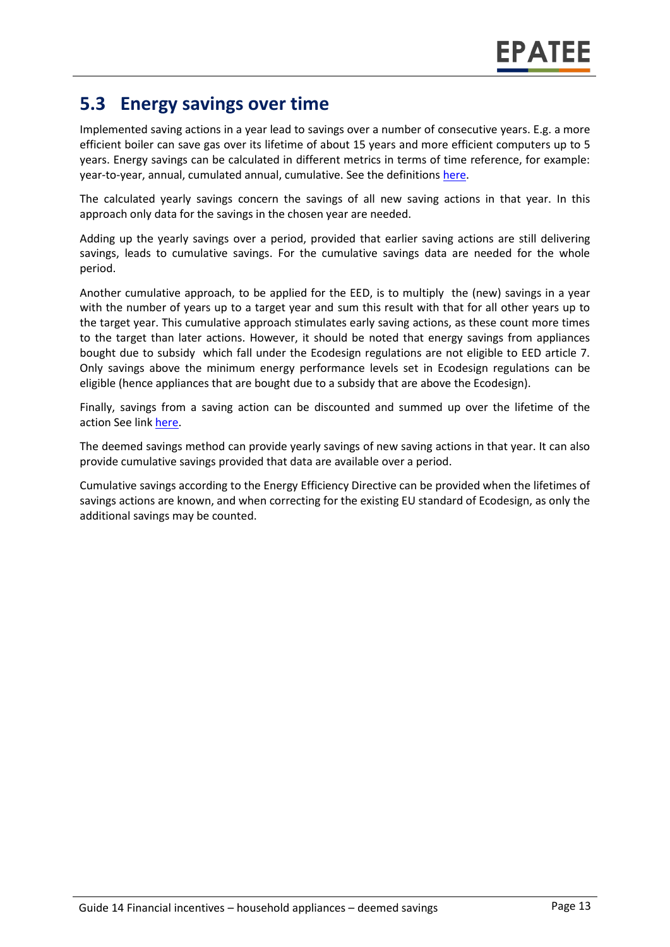# **5.3 Energy savings over time**

Implemented saving actions in a year lead to savings over a number of consecutive years. E.g. a more efficient boiler can save gas over its lifetime of about 15 years and more efficient computers up to 5 years. Energy savings can be calculated in different metrics in terms of time reference, for example: year-to-year, annual, cumulated annual, cumulative. See the definition[s here.](https://www.epatee-toolbox.eu/wp-content/uploads/2018/10/Definitions-and-typologies-related-to-energy-savings-evaluation.pdf)

The calculated yearly savings concern the savings of all new saving actions in that year. In this approach only data for the savings in the chosen year are needed.

Adding up the yearly savings over a period, provided that earlier saving actions are still delivering savings, leads to cumulative savings. For the cumulative savings data are needed for the whole period.

Another cumulative approach, to be applied for the EED, is to multiply the (new) savings in a year with the number of years up to a target year and sum this result with that for all other years up to the target year. This cumulative approach stimulates early saving actions, as these count more times to the target than later actions. However, it should be noted that energy savings from appliances bought due to subsidy which fall under the Ecodesign regulations are not eligible to EED article 7. Only savings above the minimum energy performance levels set in Ecodesign regulations can be eligible (hence appliances that are bought due to a subsidy that are above the Ecodesign).

Finally, savings from a saving action can be discounted and summed up over the lifetime of the action See link [here.](https://www.epatee-toolbox.eu/wp-content/uploads/2018/10/Definitions-and-typologies-related-to-energy-savings-evaluation.pdf)

The deemed savings method can provide yearly savings of new saving actions in that year. It can also provide cumulative savings provided that data are available over a period.

Cumulative savings according to the Energy Efficiency Directive can be provided when the lifetimes of savings actions are known, and when correcting for the existing EU standard of Ecodesign, as only the additional savings may be counted.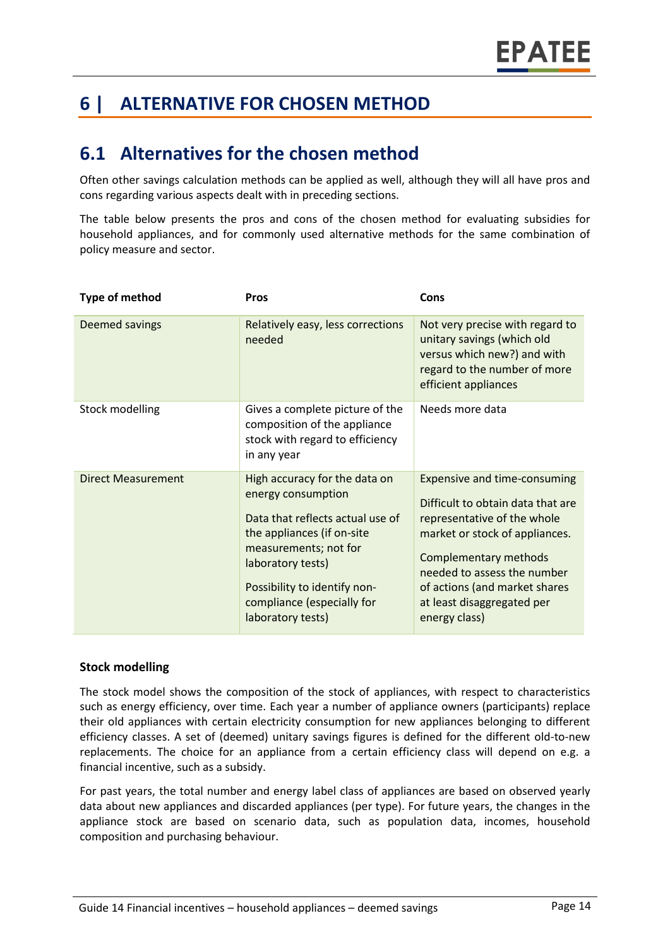# **6 | ALTERNATIVE FOR CHOSEN METHOD**

## **6.1 Alternatives for the chosen method**

Often other savings calculation methods can be applied as well, although they will all have pros and cons regarding various aspects dealt with in preceding sections.

The table below presents the pros and cons of the chosen method for evaluating subsidies for household appliances, and for commonly used alternative methods for the same combination of policy measure and sector.

| <b>Type of method</b>     | <b>Pros</b>                                                                                                                                                                                                                                            | Cons                                                                                                                                                                                                                                                                              |
|---------------------------|--------------------------------------------------------------------------------------------------------------------------------------------------------------------------------------------------------------------------------------------------------|-----------------------------------------------------------------------------------------------------------------------------------------------------------------------------------------------------------------------------------------------------------------------------------|
| Deemed savings            | Relatively easy, less corrections<br>needed                                                                                                                                                                                                            | Not very precise with regard to<br>unitary savings (which old<br>versus which new?) and with<br>regard to the number of more<br>efficient appliances                                                                                                                              |
| <b>Stock modelling</b>    | Gives a complete picture of the<br>composition of the appliance<br>stock with regard to efficiency<br>in any year                                                                                                                                      | Needs more data                                                                                                                                                                                                                                                                   |
| <b>Direct Measurement</b> | High accuracy for the data on<br>energy consumption<br>Data that reflects actual use of<br>the appliances (if on-site<br>measurements; not for<br>laboratory tests)<br>Possibility to identify non-<br>compliance (especially for<br>laboratory tests) | <b>Expensive and time-consuming</b><br>Difficult to obtain data that are<br>representative of the whole<br>market or stock of appliances.<br>Complementary methods<br>needed to assess the number<br>of actions (and market shares<br>at least disaggregated per<br>energy class) |

#### **Stock modelling**

The stock model shows the composition of the stock of appliances, with respect to characteristics such as energy efficiency, over time. Each year a number of appliance owners (participants) replace their old appliances with certain electricity consumption for new appliances belonging to different efficiency classes. A set of (deemed) unitary savings figures is defined for the different old-to-new replacements. The choice for an appliance from a certain efficiency class will depend on e.g. a financial incentive, such as a subsidy.

For past years, the total number and energy label class of appliances are based on observed yearly data about new appliances and discarded appliances (per type). For future years, the changes in the appliance stock are based on scenario data, such as population data, incomes, household composition and purchasing behaviour.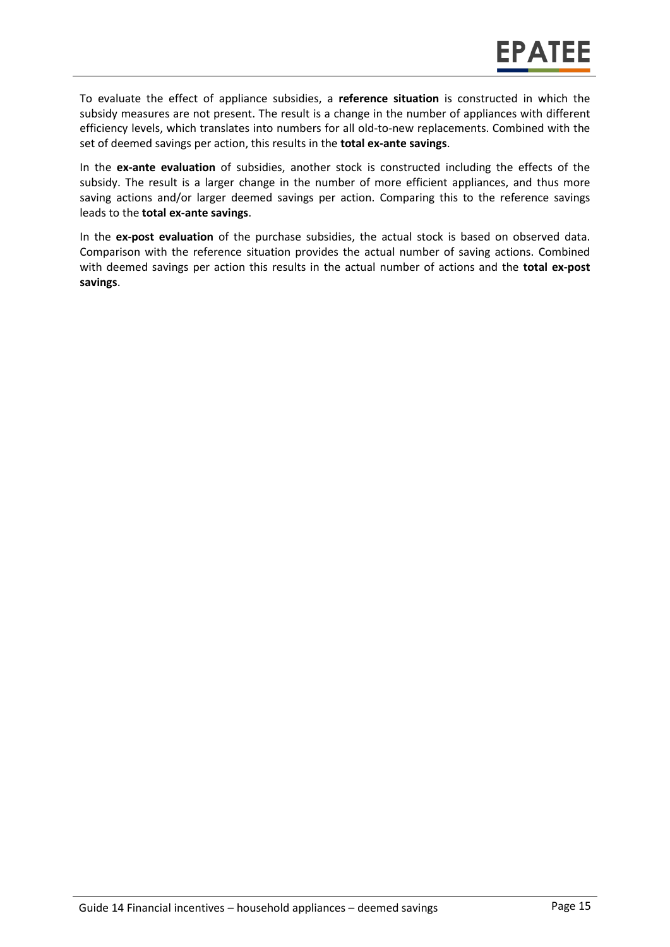To evaluate the effect of appliance subsidies, a **reference situation** is constructed in which the subsidy measures are not present. The result is a change in the number of appliances with different efficiency levels, which translates into numbers for all old-to-new replacements. Combined with the set of deemed savings per action, this results in the **total ex-ante savings**.

In the **ex-ante evaluation** of subsidies, another stock is constructed including the effects of the subsidy. The result is a larger change in the number of more efficient appliances, and thus more saving actions and/or larger deemed savings per action. Comparing this to the reference savings leads to the **total ex-ante savings**.

In the **ex-post evaluation** of the purchase subsidies, the actual stock is based on observed data. Comparison with the reference situation provides the actual number of saving actions. Combined with deemed savings per action this results in the actual number of actions and the **total ex-post savings**.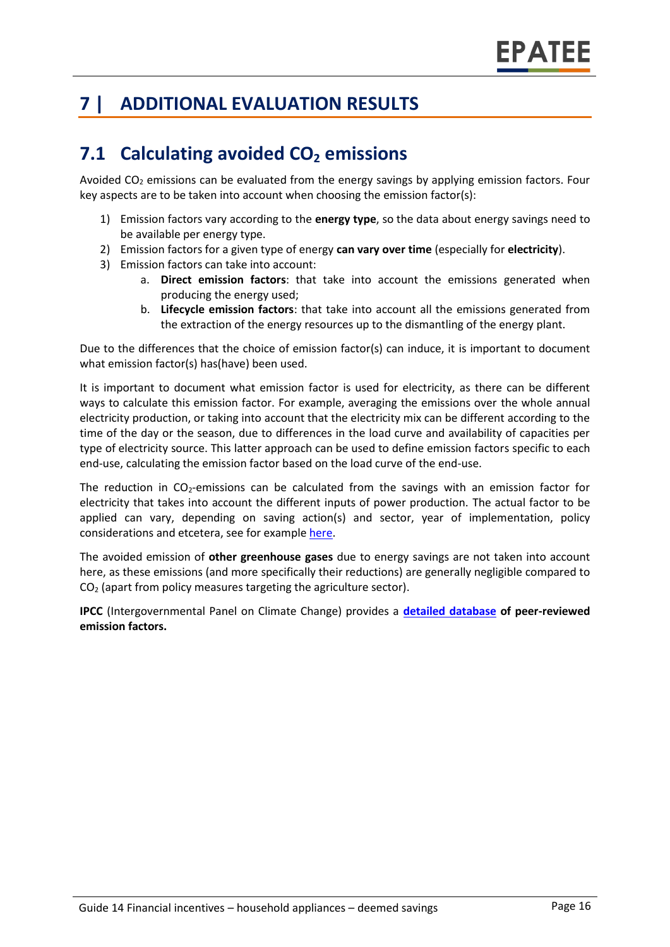# **7 | ADDITIONAL EVALUATION RESULTS**

# **7.1 Calculating avoided CO<sup>2</sup> emissions**

Avoided  $CO<sub>2</sub>$  emissions can be evaluated from the energy savings by applying emission factors. Four key aspects are to be taken into account when choosing the emission factor(s):

- 1) Emission factors vary according to the **energy type**, so the data about energy savings need to be available per energy type.
- 2) Emission factors for a given type of energy **can vary over time** (especially for **electricity**).
- 3) Emission factors can take into account:
	- a. **Direct emission factors**: that take into account the emissions generated when producing the energy used;
	- b. **Lifecycle emission factors**: that take into account all the emissions generated from the extraction of the energy resources up to the dismantling of the energy plant.

Due to the differences that the choice of emission factor(s) can induce, it is important to document what emission factor(s) has(have) been used.

It is important to document what emission factor is used for electricity, as there can be different ways to calculate this emission factor. For example, averaging the emissions over the whole annual electricity production, or taking into account that the electricity mix can be different according to the time of the day or the season, due to differences in the load curve and availability of capacities per type of electricity source. This latter approach can be used to define emission factors specific to each end-use, calculating the emission factor based on the load curve of the end-use.

The reduction in  $CO<sub>2</sub>$ -emissions can be calculated from the savings with an emission factor for electricity that takes into account the different inputs of power production. The actual factor to be applied can vary, depending on saving action(s) and sector, year of implementation, policy considerations and etcetera, see for exampl[e here.](https://www.researchgate.net/publication/222601305_Evaluation_of_methods_used_to_determine_realized_energy_savings)

The avoided emission of **other greenhouse gases** due to energy savings are not taken into account here, as these emissions (and more specifically their reductions) are generally negligible compared to CO<sup>2</sup> (apart from policy measures targeting the agriculture sector).

**IPCC** (Intergovernmental Panel on Climate Change) provides a **[detailed database](https://www.ipcc-nggip.iges.or.jp/EFDB/main.php) of peer-reviewed emission factors.**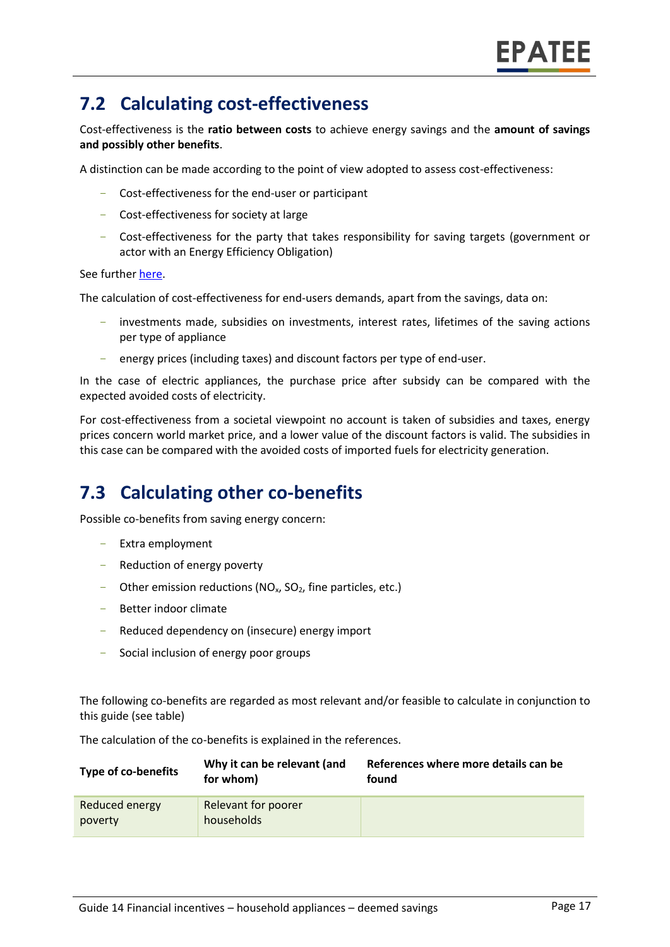# **7.2 Calculating cost-effectiveness**

Cost-effectiveness is the **ratio between costs** to achieve energy savings and the **amount of savings and possibly other benefits**.

A distinction can be made according to the point of view adopted to assess cost-effectiveness:

- Cost-effectiveness for the end-user or participant
- Cost-effectiveness for society at large
- Cost-effectiveness for the party that takes responsibility for saving targets (government or actor with an Energy Efficiency Obligation)

See furthe[r here.](https://epatee.eu/reports)

The calculation of cost-effectiveness for end-users demands, apart from the savings, data on:

- investments made, subsidies on investments, interest rates, lifetimes of the saving actions per type of appliance
- energy prices (including taxes) and discount factors per type of end-user.

In the case of electric appliances, the purchase price after subsidy can be compared with the expected avoided costs of electricity.

For cost-effectiveness from a societal viewpoint no account is taken of subsidies and taxes, energy prices concern world market price, and a lower value of the discount factors is valid. The subsidies in this case can be compared with the avoided costs of imported fuels for electricity generation.

# **7.3 Calculating other co-benefits**

Possible co-benefits from saving energy concern:

- Extra employment
- Reduction of energy poverty
- Other emission reductions ( $NO<sub>x</sub>$ ,  $SO<sub>2</sub>$ , fine particles, etc.)
- Better indoor climate
- Reduced dependency on (insecure) energy import
- Social inclusion of energy poor groups

The following co-benefits are regarded as most relevant and/or feasible to calculate in conjunction to this guide (see table)

The calculation of the co-benefits is explained in the references.

| Type of co-benefits       | Why it can be relevant (and<br>for whom) | References where more details can be<br>found |
|---------------------------|------------------------------------------|-----------------------------------------------|
| Reduced energy<br>poverty | Relevant for poorer<br>households        |                                               |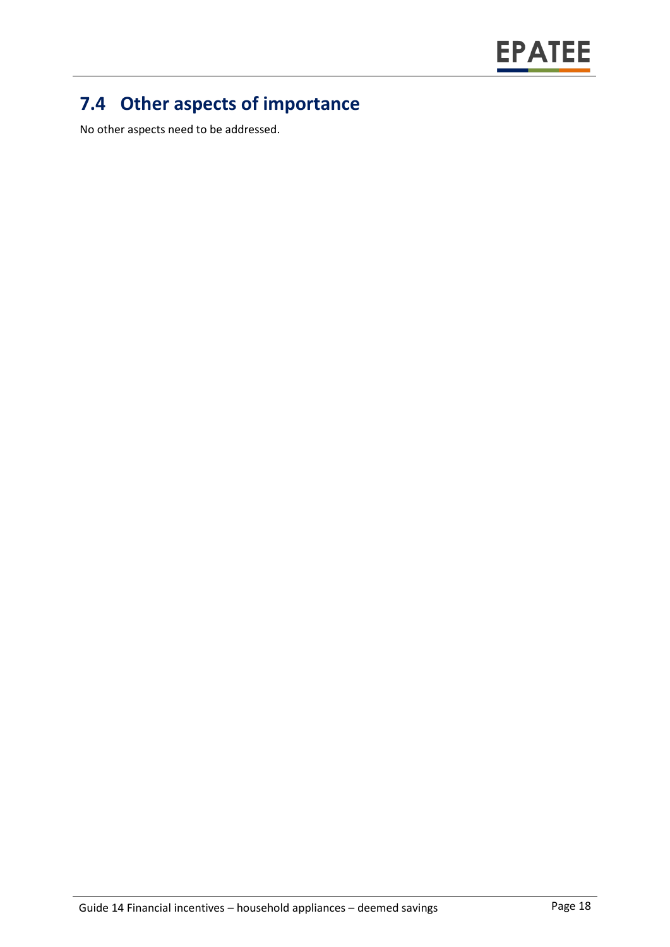

# **7.4 Other aspects of importance**

No other aspects need to be addressed.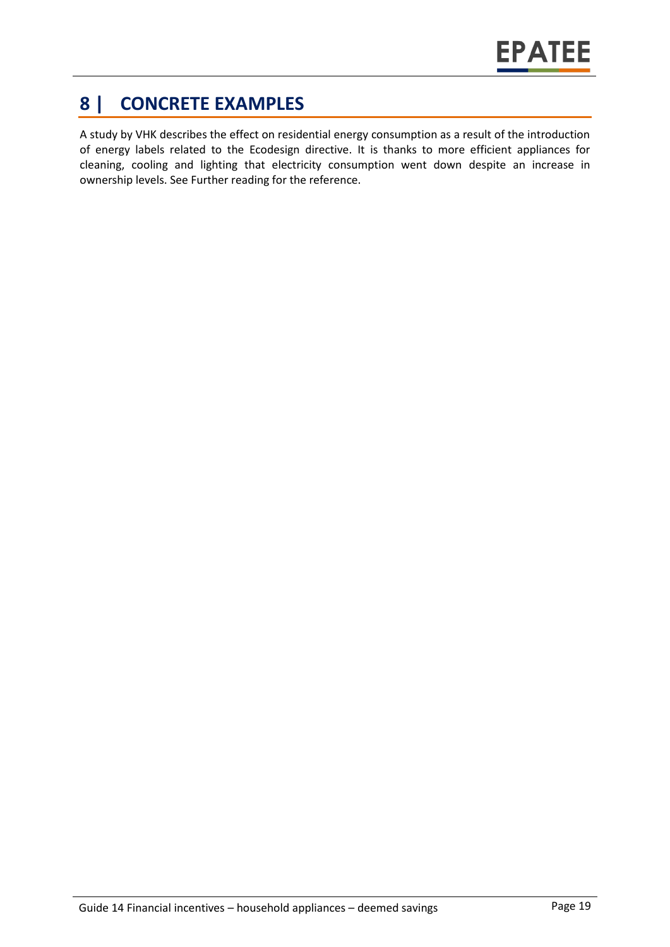# **8 | CONCRETE EXAMPLES**

A study by VHK describes the effect on residential energy consumption as a result of the introduction of energy labels related to the Ecodesign directive. It is thanks to more efficient appliances for cleaning, cooling and lighting that electricity consumption went down despite an increase in ownership levels. See Further reading for the reference.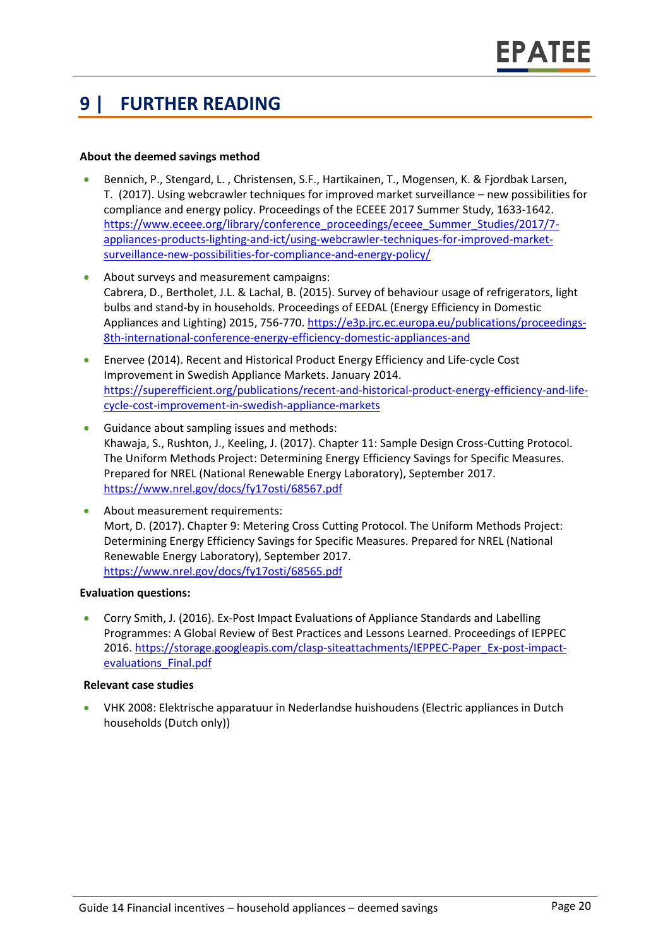# **9 | FURTHER READING**

#### **About the deemed savings method**

- Bennich, P., Stengard, L. , Christensen, S.F., Hartikainen, T., Mogensen, K. & Fjordbak Larsen, T. (2017). Using webcrawler techniques for improved market surveillance – new possibilities for compliance and energy policy. Proceedings of the ECEEE 2017 Summer Study, 1633-1642. [https://www.eceee.org/library/conference\\_proceedings/eceee\\_Summer\\_Studies/2017/7](https://www.eceee.org/library/conference_proceedings/eceee_Summer_Studies/2017/7-appliances-products-lighting-and-ict/using-webcrawler-techniques-for-improved-market-surveillance-new-possibilities-for-compliance-and-energy-policy/) [appliances-products-lighting-and-ict/using-webcrawler-techniques-for-improved-market](https://www.eceee.org/library/conference_proceedings/eceee_Summer_Studies/2017/7-appliances-products-lighting-and-ict/using-webcrawler-techniques-for-improved-market-surveillance-new-possibilities-for-compliance-and-energy-policy/)[surveillance-new-possibilities-for-compliance-and-energy-policy/](https://www.eceee.org/library/conference_proceedings/eceee_Summer_Studies/2017/7-appliances-products-lighting-and-ict/using-webcrawler-techniques-for-improved-market-surveillance-new-possibilities-for-compliance-and-energy-policy/)
- About surveys and measurement campaigns: Cabrera, D., Bertholet, J.L. & Lachal, B. (2015). Survey of behaviour usage of refrigerators, light bulbs and stand-by in households. Proceedings of EEDAL (Energy Efficiency in Domestic Appliances and Lighting) 2015, 756-770. [https://e3p.jrc.ec.europa.eu/publications/proceedings-](https://e3p.jrc.ec.europa.eu/publications/proceedings-8th-international-conference-energy-efficiency-domestic-appliances-and)[8th-international-conference-energy-efficiency-domestic-appliances-and](https://e3p.jrc.ec.europa.eu/publications/proceedings-8th-international-conference-energy-efficiency-domestic-appliances-and)
- Enervee (2014). Recent and Historical Product Energy Efficiency and Life‐cycle Cost Improvement in Swedish Appliance Markets. January 2014. [https://superefficient.org/publications/recent-and-historical-product-energy-efficiency-and-life](https://superefficient.org/publications/recent-and-historical-product-energy-efficiency-and-life-cycle-cost-improvement-in-swedish-appliance-markets)[cycle-cost-improvement-in-swedish-appliance-markets](https://superefficient.org/publications/recent-and-historical-product-energy-efficiency-and-life-cycle-cost-improvement-in-swedish-appliance-markets)
- Guidance about sampling issues and methods: Khawaja, S., Rushton, J., Keeling, J. (2017). Chapter 11: Sample Design Cross-Cutting Protocol. The Uniform Methods Project: Determining Energy Efficiency Savings for Specific Measures. Prepared for NREL (National Renewable Energy Laboratory), September 2017. <https://www.nrel.gov/docs/fy17osti/68567.pdf>
- About measurement requirements: Mort, D. (2017). Chapter 9: Metering Cross Cutting Protocol. The Uniform Methods Project: Determining Energy Efficiency Savings for Specific Measures. Prepared for NREL (National Renewable Energy Laboratory), September 2017. <https://www.nrel.gov/docs/fy17osti/68565.pdf>

#### **Evaluation questions:**

• Corry Smith, J. (2016). Ex‐Post Impact Evaluations of Appliance Standards and Labelling Programmes: A Global Review of Best Practices and Lessons Learned. Proceedings of IEPPEC 2016. [https://storage.googleapis.com/clasp-siteattachments/IEPPEC-Paper\\_Ex-post-impact](https://storage.googleapis.com/clasp-siteattachments/IEPPEC-Paper_Ex-post-impact-evaluations_Final.pdf)[evaluations\\_Final.pdf](https://storage.googleapis.com/clasp-siteattachments/IEPPEC-Paper_Ex-post-impact-evaluations_Final.pdf)

#### **Relevant case studies**

• [VHK 2008:](file://///vaeadaten/projekte/_2016/16.060_EPATEE/6%20WP4%20-%20Guidance%20and%20support/Onlinetool/PSMC%20Formatting/Originals/docplayer.nl/16189960-Hoofdrapport-definitief-elektrische-apparatuur-in-nederlandse-huishoudens-overzicht-1980-2005-scenario-s-2010-2020.html) Elektrische apparatuur in Nederlandse huishoudens (Electric appliances in Dutch households (Dutch only))